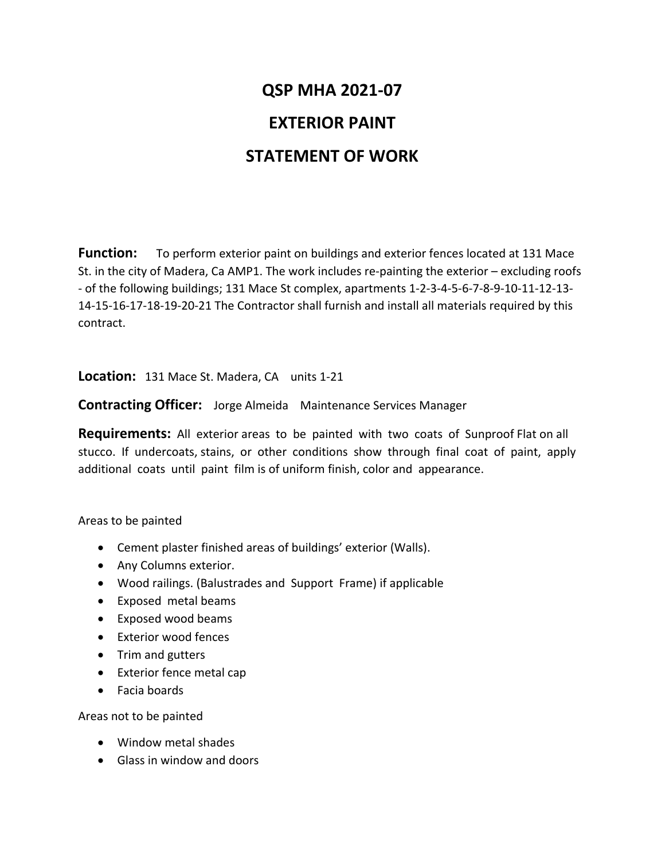## **QSP MHA 2021-07 EXTERIOR PAINT STATEMENT OF WORK**

**Function:** To perform exterior paint on buildings and exterior fences located at 131 Mace St. in the city of Madera, Ca AMP1. The work includes re-painting the exterior – excluding roofs - of the following buildings; 131 Mace St complex, apartments 1-2-3-4-5-6-7-8-9-10-11-12-13- 14-15-16-17-18-19-20-21 The Contractor shall furnish and install all materials required by this contract.

**Location:** 131 Mace St. Madera, CA units 1-21

**Contracting Officer:** Jorge Almeida Maintenance Services Manager

**Requirements:** All exterior areas to be painted with two coats of Sunproof Flat on all stucco. If undercoats, stains, or other conditions show through final coat of paint, apply additional coats until paint film is of uniform finish, color and appearance.

Areas to be painted

- Cement plaster finished areas of buildings' exterior (Walls).
- Any Columns exterior.
- Wood railings. (Balustrades and Support Frame) if applicable
- Exposed metal beams
- Exposed wood beams
- Exterior wood fences
- Trim and gutters
- Exterior fence metal cap
- Facia boards

Areas not to be painted

- Window metal shades
- Glass in window and doors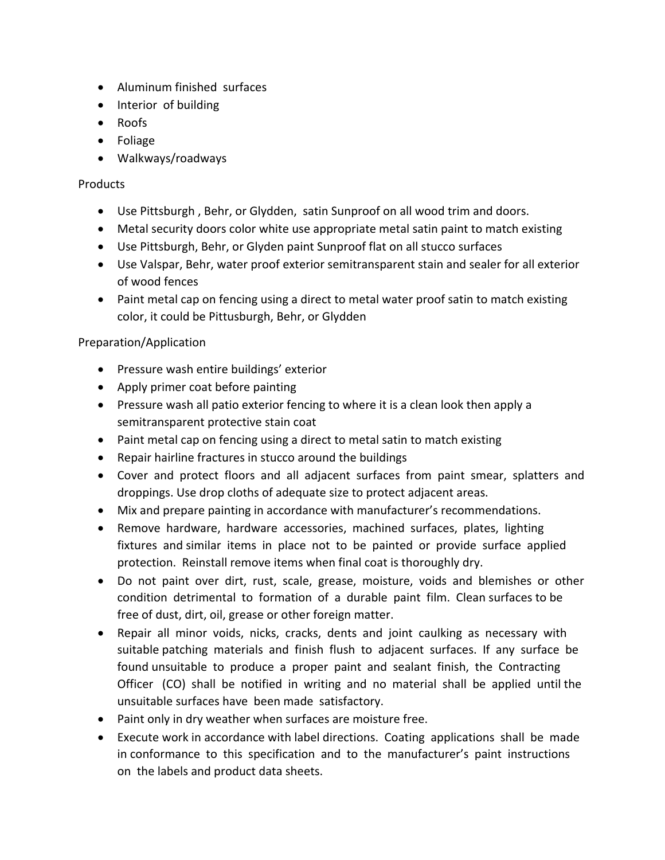- Aluminum finished surfaces
- Interior of building
- Roofs
- Foliage
- Walkways/roadways

## Products

- Use Pittsburgh , Behr, or Glydden, satin Sunproof on all wood trim and doors.
- Metal security doors color white use appropriate metal satin paint to match existing
- Use Pittsburgh, Behr, or Glyden paint Sunproof flat on all stucco surfaces
- Use Valspar, Behr, water proof exterior semitransparent stain and sealer for all exterior of wood fences
- Paint metal cap on fencing using a direct to metal water proof satin to match existing color, it could be Pittusburgh, Behr, or Glydden

## Preparation/Application

- Pressure wash entire buildings' exterior
- Apply primer coat before painting
- Pressure wash all patio exterior fencing to where it is a clean look then apply a semitransparent protective stain coat
- Paint metal cap on fencing using a direct to metal satin to match existing
- Repair hairline fractures in stucco around the buildings
- Cover and protect floors and all adjacent surfaces from paint smear, splatters and droppings. Use drop cloths of adequate size to protect adjacent areas.
- Mix and prepare painting in accordance with manufacturer's recommendations.
- Remove hardware, hardware accessories, machined surfaces, plates, lighting fixtures and similar items in place not to be painted or provide surface applied protection. Reinstall remove items when final coat is thoroughly dry.
- Do not paint over dirt, rust, scale, grease, moisture, voids and blemishes or other condition detrimental to formation of a durable paint film. Clean surfaces to be free of dust, dirt, oil, grease or other foreign matter.
- Repair all minor voids, nicks, cracks, dents and joint caulking as necessary with suitable patching materials and finish flush to adjacent surfaces. If any surface be found unsuitable to produce a proper paint and sealant finish, the Contracting Officer (CO) shall be notified in writing and no material shall be applied until the unsuitable surfaces have been made satisfactory.
- Paint only in dry weather when surfaces are moisture free.
- Execute work in accordance with label directions. Coating applications shall be made in conformance to this specification and to the manufacturer's paint instructions on the labels and product data sheets.